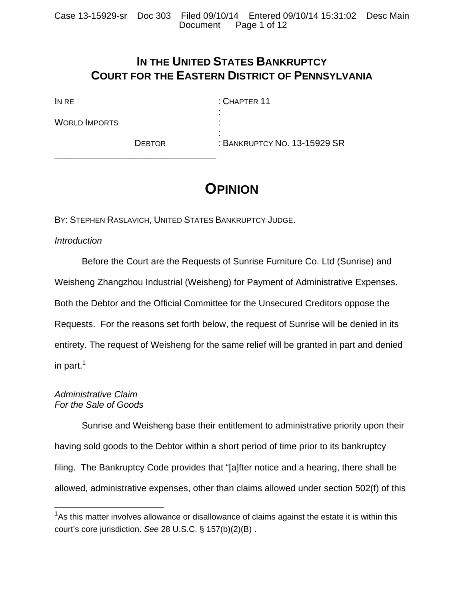# **IN THE UNITED STATES BANKRUPTCY COURT FOR THE EASTERN DISTRICT OF PENNSYLVANIA**

| IN RE                |               | $:$ CHAPTER 11               |
|----------------------|---------------|------------------------------|
|                      |               |                              |
| <b>WORLD IMPORTS</b> |               |                              |
|                      |               |                              |
|                      | <b>DEBTOR</b> | : BANKRUPTCY NO. 13-15929 SR |

# **OPINION**

BY: STEPHEN RASLAVICH, UNITED STATES BANKRUPTCY JUDGE.

\_\_\_\_\_\_\_\_\_\_\_\_\_\_\_\_\_\_\_\_\_\_\_\_\_\_\_\_\_\_\_\_

# *Introduction*

 Before the Court are the Requests of Sunrise Furniture Co. Ltd (Sunrise) and Weisheng Zhangzhou Industrial (Weisheng) for Payment of Administrative Expenses. Both the Debtor and the Official Committee for the Unsecured Creditors oppose the Requests. For the reasons set forth below, the request of Sunrise will be denied in its entirety. The request of Weisheng for the same relief will be granted in part and denied in part. $1$ 

#### *Administrative Claim For the Sale of Goods*

 $\overline{a}$ 

 Sunrise and Weisheng base their entitlement to administrative priority upon their having sold goods to the Debtor within a short period of time prior to its bankruptcy filing. The Bankruptcy Code provides that "[a]fter notice and a hearing, there shall be allowed, administrative expenses, other than claims allowed under section 502(f) of this

 $1$ As this matter involves allowance or disallowance of claims against the estate it is within this court's core jurisdiction. *See* 28 U.S.C. § 157(b)(2)(B) .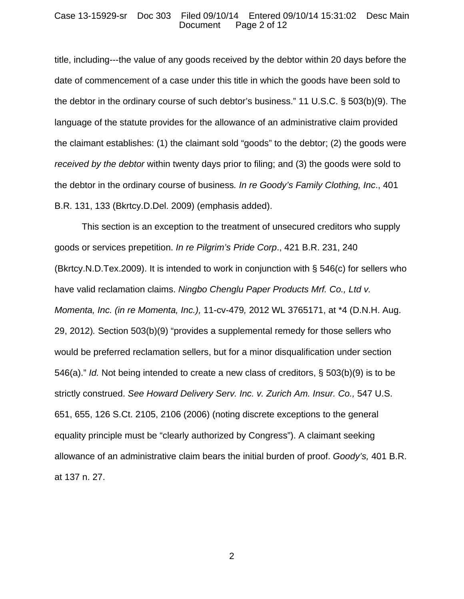#### Case 13-15929-sr Doc 303 Filed 09/10/14 Entered 09/10/14 15:31:02 Desc Main Page 2 of 12

title, including---the value of any goods received by the debtor within 20 days before the date of commencement of a case under this title in which the goods have been sold to the debtor in the ordinary course of such debtor's business." 11 U.S.C. § 503(b)(9). The language of the statute provides for the allowance of an administrative claim provided the claimant establishes: (1) the claimant sold "goods" to the debtor; (2) the goods were *received by the debtor* within twenty days prior to filing; and (3) the goods were sold to the debtor in the ordinary course of business*. In re Goody's Family Clothing, Inc*., 401 B.R. 131, 133 (Bkrtcy.D.Del. 2009) (emphasis added).

This section is an exception to the treatment of unsecured creditors who supply goods or services prepetition. *In re Pilgrim's Pride Corp*., 421 B.R. 231, 240 (Bkrtcy.N.D.Tex.2009). It is intended to work in conjunction with § 546(c) for sellers who have valid reclamation claims. *Ningbo Chenglu Paper Products Mrf. Co., Ltd v. Momenta, Inc. (in re Momenta, Inc.),* 11-cv-479*,* 2012 WL 3765171, at \*4 (D.N.H. Aug. 29, 2012)*.* Section 503(b)(9) "provides a supplemental remedy for those sellers who would be preferred reclamation sellers, but for a minor disqualification under section 546(a)." *Id.* Not being intended to create a new class of creditors, § 503(b)(9) is to be strictly construed. *See Howard Delivery Serv. Inc. v. Zurich Am. Insur. Co.*, 547 U.S. 651, 655, 126 S.Ct. 2105, 2106 (2006) (noting discrete exceptions to the general equality principle must be "clearly authorized by Congress"). A claimant seeking allowance of an administrative claim bears the initial burden of proof. *Goody's,* 401 B.R. at 137 n. 27.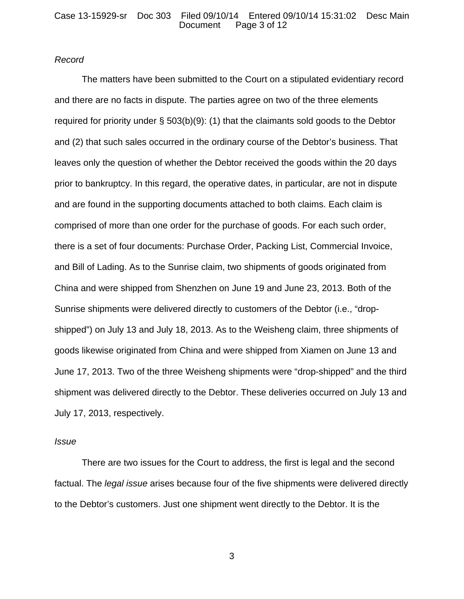#### *Record*

 The matters have been submitted to the Court on a stipulated evidentiary record and there are no facts in dispute. The parties agree on two of the three elements required for priority under § 503(b)(9): (1) that the claimants sold goods to the Debtor and (2) that such sales occurred in the ordinary course of the Debtor's business. That leaves only the question of whether the Debtor received the goods within the 20 days prior to bankruptcy. In this regard, the operative dates, in particular, are not in dispute and are found in the supporting documents attached to both claims. Each claim is comprised of more than one order for the purchase of goods. For each such order, there is a set of four documents: Purchase Order, Packing List, Commercial Invoice, and Bill of Lading. As to the Sunrise claim, two shipments of goods originated from China and were shipped from Shenzhen on June 19 and June 23, 2013. Both of the Sunrise shipments were delivered directly to customers of the Debtor (i.e., "dropshipped") on July 13 and July 18, 2013. As to the Weisheng claim, three shipments of goods likewise originated from China and were shipped from Xiamen on June 13 and June 17, 2013. Two of the three Weisheng shipments were "drop-shipped" and the third shipment was delivered directly to the Debtor. These deliveries occurred on July 13 and July 17, 2013, respectively.

#### *Issue*

 There are two issues for the Court to address, the first is legal and the second factual. The *legal issue* arises because four of the five shipments were delivered directly to the Debtor's customers. Just one shipment went directly to the Debtor. It is the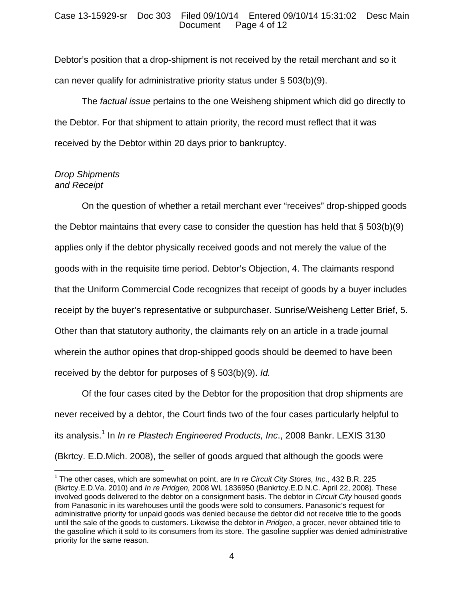Debtor's position that a drop-shipment is not received by the retail merchant and so it can never qualify for administrative priority status under § 503(b)(9).

 The *factual issue* pertains to the one Weisheng shipment which did go directly to the Debtor. For that shipment to attain priority, the record must reflect that it was received by the Debtor within 20 days prior to bankruptcy.

## *Drop Shipments and Receipt*

 $\overline{a}$ 

 On the question of whether a retail merchant ever "receives" drop-shipped goods the Debtor maintains that every case to consider the question has held that § 503(b)(9) applies only if the debtor physically received goods and not merely the value of the goods with in the requisite time period. Debtor's Objection, 4. The claimants respond that the Uniform Commercial Code recognizes that receipt of goods by a buyer includes receipt by the buyer's representative or subpurchaser. Sunrise/Weisheng Letter Brief, 5. Other than that statutory authority, the claimants rely on an article in a trade journal wherein the author opines that drop-shipped goods should be deemed to have been received by the debtor for purposes of § 503(b)(9). *Id.*

 Of the four cases cited by the Debtor for the proposition that drop shipments are never received by a debtor, the Court finds two of the four cases particularly helpful to its analysis.<sup>1</sup> In *In re Plastech Engineered Products, Inc.*, 2008 Bankr. LEXIS 3130 (Bkrtcy. E.D.Mich. 2008), the seller of goods argued that although the goods were

<sup>&</sup>lt;sup>1</sup> The other cases, which are somewhat on point, are *In re Circuit City Stores, Inc.*, 432 B.R. 225 (Bkrtcy.E.D.Va. 2010) and *In re Pridgen,* 2008 WL 1836950 (Bankrtcy.E.D.N.C. April 22, 2008). These involved goods delivered to the debtor on a consignment basis. The debtor in *Circuit City* housed goods from Panasonic in its warehouses until the goods were sold to consumers. Panasonic's request for administrative priority for unpaid goods was denied because the debtor did not receive title to the goods until the sale of the goods to customers. Likewise the debtor in *Pridgen*, a grocer, never obtained title to the gasoline which it sold to its consumers from its store. The gasoline supplier was denied administrative priority for the same reason.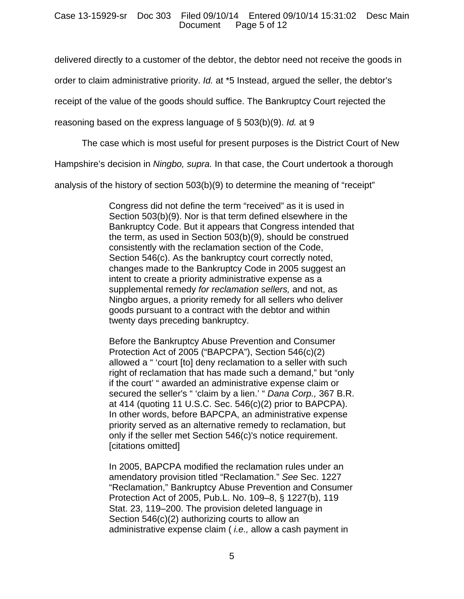delivered directly to a customer of the debtor, the debtor need not receive the goods in

order to claim administrative priority. *Id.* at \*5 Instead, argued the seller, the debtor's

receipt of the value of the goods should suffice. The Bankruptcy Court rejected the

reasoning based on the express language of § 503(b)(9). *Id.* at 9

The case which is most useful for present purposes is the District Court of New

Hampshire's decision in *Ningbo, supra.* In that case, the Court undertook a thorough

analysis of the history of section 503(b)(9) to determine the meaning of "receipt"

Congress did not define the term "received" as it is used in Section 503(b)(9). Nor is that term defined elsewhere in the Bankruptcy Code. But it appears that Congress intended that the term, as used in Section 503(b)(9), should be construed consistently with the reclamation section of the Code, Section 546(c). As the bankruptcy court correctly noted, changes made to the Bankruptcy Code in 2005 suggest an intent to create a priority administrative expense as a supplemental remedy *for reclamation sellers,* and not, as Ningbo argues, a priority remedy for all sellers who deliver goods pursuant to a contract with the debtor and within twenty days preceding bankruptcy.

Before the Bankruptcy Abuse Prevention and Consumer Protection Act of 2005 ("BAPCPA"), Section 546(c)(2) allowed a " 'court [to] deny reclamation to a seller with such right of reclamation that has made such a demand," but "only if the court' " awarded an administrative expense claim or secured the seller's " 'claim by a lien.' " *Dana Corp.,* 367 B.R. at 414 (quoting 11 U.S.C. Sec. 546(c)(2) prior to BAPCPA). In other words, before BAPCPA, an administrative expense priority served as an alternative remedy to reclamation, but only if the seller met Section 546(c)'s notice requirement. [citations omitted]

In 2005, BAPCPA modified the reclamation rules under an amendatory provision titled "Reclamation." *See* Sec. 1227 "Reclamation," Bankruptcy Abuse Prevention and Consumer Protection Act of 2005, Pub.L. No. 109–8, § 1227(b), 119 Stat. 23, 119–200. The provision deleted language in Section 546(c)(2) authorizing courts to allow an administrative expense claim ( *i.e.,* allow a cash payment in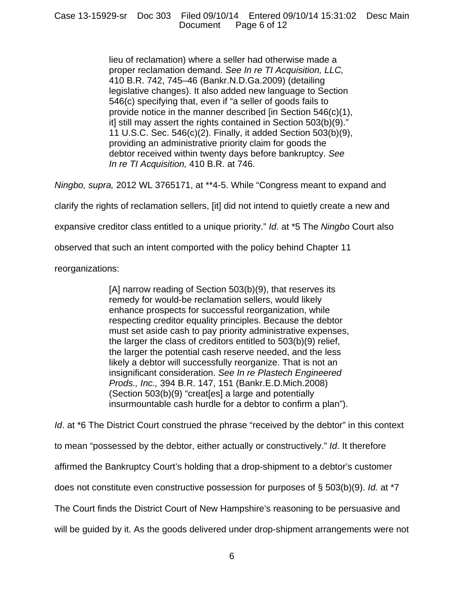lieu of reclamation) where a seller had otherwise made a proper reclamation demand. *See In re TI Acquisition, LLC,* 410 B.R. 742, 745–46 (Bankr.N.D.Ga.2009) (detailing legislative changes). It also added new language to Section 546(c) specifying that, even if "a seller of goods fails to provide notice in the manner described [in Section 546(c)(1), it] still may assert the rights contained in Section 503(b)(9)." 11 U.S.C. Sec. 546(c)(2). Finally, it added Section 503(b)(9), providing an administrative priority claim for goods the debtor received within twenty days before bankruptcy. *See In re TI Acquisition,* 410 B.R. at 746.

*Ningbo, supra,* 2012 WL 3765171, at \*\*4-5. While "Congress meant to expand and

clarify the rights of reclamation sellers, [it] did not intend to quietly create a new and

expansive creditor class entitled to a unique priority." *Id*. at \*5 The *Ningbo* Court also

observed that such an intent comported with the policy behind Chapter 11

reorganizations:

[A] narrow reading of Section 503(b)(9), that reserves its remedy for would-be reclamation sellers, would likely enhance prospects for successful reorganization, while respecting creditor equality principles. Because the debtor must set aside cash to pay priority administrative expenses, the larger the class of creditors entitled to 503(b)(9) relief, the larger the potential cash reserve needed, and the less likely a debtor will successfully reorganize. That is not an insignificant consideration. *See In re Plastech Engineered Prods., Inc.,* 394 B.R. 147, 151 (Bankr.E.D.Mich.2008) (Section 503(b)(9) "creat[es] a large and potentially insurmountable cash hurdle for a debtor to confirm a plan").

*Id.* at \*6 The District Court construed the phrase "received by the debtor" in this context

to mean "possessed by the debtor, either actually or constructively." *Id*. It therefore

affirmed the Bankruptcy Court's holding that a drop-shipment to a debtor's customer

does not constitute even constructive possession for purposes of § 503(b)(9). *Id.* at \*7

The Court finds the District Court of New Hampshire's reasoning to be persuasive and

will be guided by it. As the goods delivered under drop-shipment arrangements were not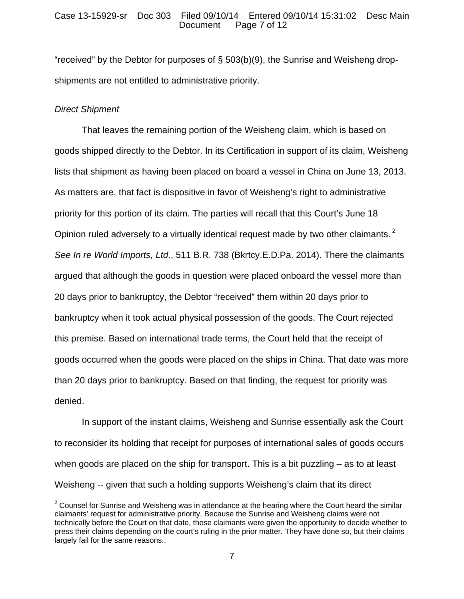#### Case 13-15929-sr Doc 303 Filed 09/10/14 Entered 09/10/14 15:31:02 Desc Main Page 7 of 12

"received" by the Debtor for purposes of § 503(b)(9), the Sunrise and Weisheng dropshipments are not entitled to administrative priority.

# *Direct Shipment*

1

 That leaves the remaining portion of the Weisheng claim, which is based on goods shipped directly to the Debtor. In its Certification in support of its claim, Weisheng lists that shipment as having been placed on board a vessel in China on June 13, 2013. As matters are, that fact is dispositive in favor of Weisheng's right to administrative priority for this portion of its claim. The parties will recall that this Court's June 18 Opinion ruled adversely to a virtually identical request made by two other claimants.<sup>2</sup> *See In re World Imports, Ltd*., 511 B.R. 738 (Bkrtcy.E.D.Pa. 2014). There the claimants argued that although the goods in question were placed onboard the vessel more than 20 days prior to bankruptcy, the Debtor "received" them within 20 days prior to bankruptcy when it took actual physical possession of the goods. The Court rejected this premise. Based on international trade terms, the Court held that the receipt of goods occurred when the goods were placed on the ships in China. That date was more than 20 days prior to bankruptcy. Based on that finding, the request for priority was denied.

In support of the instant claims, Weisheng and Sunrise essentially ask the Court to reconsider its holding that receipt for purposes of international sales of goods occurs when goods are placed on the ship for transport. This is a bit puzzling – as to at least Weisheng -- given that such a holding supports Weisheng's claim that its direct

 $2$  Counsel for Sunrise and Weisheng was in attendance at the hearing where the Court heard the similar claimants' request for administrative priority. Because the Sunrise and Weisheng claims were not technically before the Court on that date, those claimants were given the opportunity to decide whether to press their claims depending on the court's ruling in the prior matter. They have done so, but their claims largely fail for the same reasons..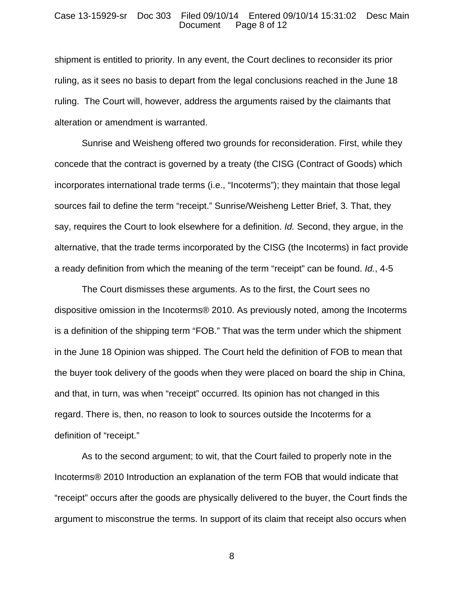#### Case 13-15929-sr Doc 303 Filed 09/10/14 Entered 09/10/14 15:31:02 Desc Main Page 8 of 12

shipment is entitled to priority. In any event, the Court declines to reconsider its prior ruling, as it sees no basis to depart from the legal conclusions reached in the June 18 ruling. The Court will, however, address the arguments raised by the claimants that alteration or amendment is warranted.

Sunrise and Weisheng offered two grounds for reconsideration. First, while they concede that the contract is governed by a treaty (the CISG (Contract of Goods) which incorporates international trade terms (i.e., "Incoterms"); they maintain that those legal sources fail to define the term "receipt." Sunrise/Weisheng Letter Brief, 3. That, they say, requires the Court to look elsewhere for a definition. *Id.* Second, they argue, in the alternative, that the trade terms incorporated by the CISG (the Incoterms) in fact provide a ready definition from which the meaning of the term "receipt" can be found. *Id.*, 4-5

The Court dismisses these arguments. As to the first, the Court sees no dispositive omission in the Incoterms® 2010. As previously noted, among the Incoterms is a definition of the shipping term "FOB." That was the term under which the shipment in the June 18 Opinion was shipped. The Court held the definition of FOB to mean that the buyer took delivery of the goods when they were placed on board the ship in China, and that, in turn, was when "receipt" occurred. Its opinion has not changed in this regard. There is, then, no reason to look to sources outside the Incoterms for a definition of "receipt."

As to the second argument; to wit, that the Court failed to properly note in the Incoterms® 2010 Introduction an explanation of the term FOB that would indicate that "receipt" occurs after the goods are physically delivered to the buyer, the Court finds the argument to misconstrue the terms. In support of its claim that receipt also occurs when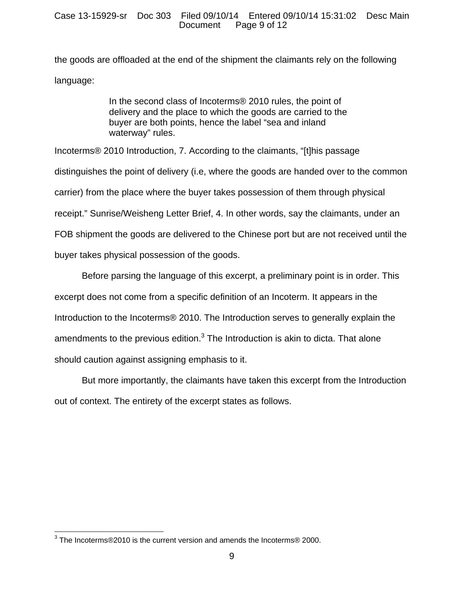the goods are offloaded at the end of the shipment the claimants rely on the following language:

> In the second class of Incoterms® 2010 rules, the point of delivery and the place to which the goods are carried to the buyer are both points, hence the label "sea and inland waterway" rules.

Incoterms® 2010 Introduction, 7. According to the claimants, "[t]his passage distinguishes the point of delivery (i.e, where the goods are handed over to the common carrier) from the place where the buyer takes possession of them through physical receipt." Sunrise/Weisheng Letter Brief, 4. In other words, say the claimants, under an FOB shipment the goods are delivered to the Chinese port but are not received until the buyer takes physical possession of the goods.

Before parsing the language of this excerpt, a preliminary point is in order. This excerpt does not come from a specific definition of an Incoterm. It appears in the Introduction to the Incoterms® 2010. The Introduction serves to generally explain the amendments to the previous edition. $3$  The Introduction is akin to dicta. That alone should caution against assigning emphasis to it.

But more importantly, the claimants have taken this excerpt from the Introduction out of context. The entirety of the excerpt states as follows.

 3 The Incoterms®2010 is the current version and amends the Incoterms® 2000.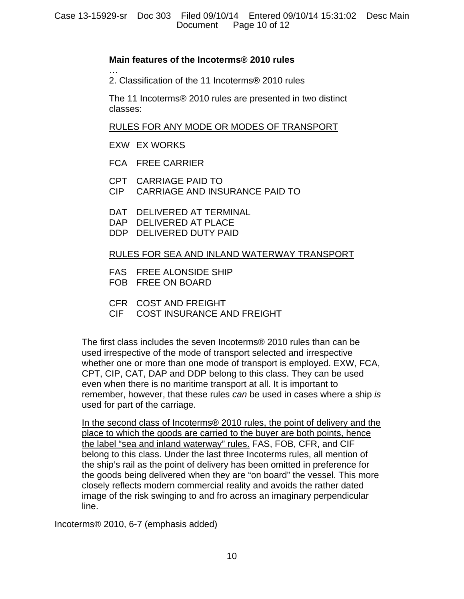# **Main features of the Incoterms® 2010 rules**

… 2. Classification of the 11 Incoterms® 2010 rules

The 11 Incoterms® 2010 rules are presented in two distinct classes:

# RULES FOR ANY MODE OR MODES OF TRANSPORT

- EXW EX WORKS
- FCA FREE CARRIER
- CPT CARRIAGE PAID TO
- CIP CARRIAGE AND INSURANCE PAID TO
- DAT DELIVERED AT TERMINAL
- DAP DELIVERED AT PLACE
- DDP DELIVERED DUTY PAID

# RULES FOR SEA AND INLAND WATERWAY TRANSPORT

- FAS FREE ALONSIDE SHIP
- FOB FREE ON BOARD
- CFR COST AND FREIGHT
- CIF COST INSURANCE AND FREIGHT

The first class includes the seven Incoterms® 2010 rules than can be used irrespective of the mode of transport selected and irrespective whether one or more than one mode of transport is employed. EXW, FCA, CPT, CIP, CAT, DAP and DDP belong to this class. They can be used even when there is no maritime transport at all. It is important to remember, however, that these rules *can* be used in cases where a ship *is* used for part of the carriage.

In the second class of Incoterms® 2010 rules, the point of delivery and the place to which the goods are carried to the buyer are both points, hence the label "sea and inland waterway" rules. FAS, FOB, CFR, and CIF belong to this class. Under the last three Incoterms rules, all mention of the ship's rail as the point of delivery has been omitted in preference for the goods being delivered when they are "on board" the vessel. This more closely reflects modern commercial reality and avoids the rather dated image of the risk swinging to and fro across an imaginary perpendicular line.

Incoterms® 2010, 6-7 (emphasis added)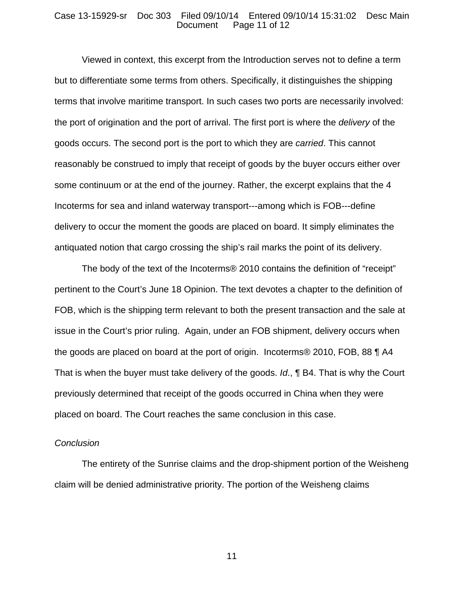#### Case 13-15929-sr Doc 303 Filed 09/10/14 Entered 09/10/14 15:31:02 Desc Main Page 11 of 12

Viewed in context, this excerpt from the Introduction serves not to define a term but to differentiate some terms from others. Specifically, it distinguishes the shipping terms that involve maritime transport. In such cases two ports are necessarily involved: the port of origination and the port of arrival. The first port is where the *delivery* of the goods occurs. The second port is the port to which they are *carried*. This cannot reasonably be construed to imply that receipt of goods by the buyer occurs either over some continuum or at the end of the journey. Rather, the excerpt explains that the 4 Incoterms for sea and inland waterway transport---among which is FOB---define delivery to occur the moment the goods are placed on board. It simply eliminates the antiquated notion that cargo crossing the ship's rail marks the point of its delivery.

The body of the text of the Incoterms® 2010 contains the definition of "receipt" pertinent to the Court's June 18 Opinion. The text devotes a chapter to the definition of FOB, which is the shipping term relevant to both the present transaction and the sale at issue in the Court's prior ruling. Again, under an FOB shipment, delivery occurs when the goods are placed on board at the port of origin. Incoterms® 2010, FOB, 88 ¶ A4 That is when the buyer must take delivery of the goods. *Id*., ¶ B4. That is why the Court previously determined that receipt of the goods occurred in China when they were placed on board. The Court reaches the same conclusion in this case.

#### *Conclusion*

 The entirety of the Sunrise claims and the drop-shipment portion of the Weisheng claim will be denied administrative priority. The portion of the Weisheng claims